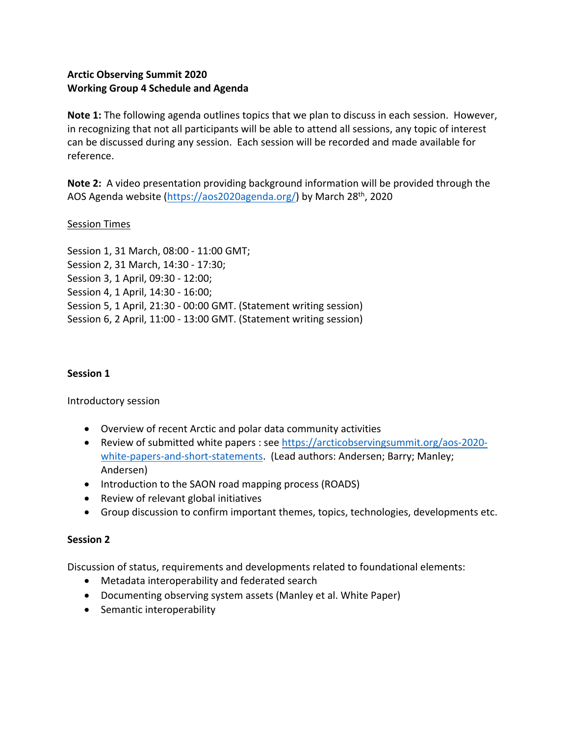# **Arctic Observing Summit 2020 Working Group 4 Schedule and Agenda**

**Note 1:** The following agenda outlines topics that we plan to discuss in each session. However, in recognizing that not all participants will be able to attend all sessions, any topic of interest can be discussed during any session. Each session will be recorded and made available for reference.

**Note 2:** A video presentation providing background information will be provided through the AOS Agenda website (https://aos2020agenda.org/) by March 28<sup>th</sup>, 2020

### Session Times

Session 1, 31 March, 08:00 - 11:00 GMT; Session 2, 31 March, 14:30 - 17:30; Session 3, 1 April, 09:30 - 12:00; Session 4, 1 April, 14:30 - 16:00; Session 5, 1 April, 21:30 - 00:00 GMT. (Statement writing session) Session 6, 2 April, 11:00 - 13:00 GMT. (Statement writing session)

# **Session 1**

Introductory session

- Overview of recent Arctic and polar data community activities
- Review of submitted white papers : see https://arcticobservingsummit.org/aos-2020 white-papers-and-short-statements. (Lead authors: Andersen; Barry; Manley; Andersen)
- Introduction to the SAON road mapping process (ROADS)
- Review of relevant global initiatives
- Group discussion to confirm important themes, topics, technologies, developments etc.

#### **Session 2**

Discussion of status, requirements and developments related to foundational elements:

- Metadata interoperability and federated search
- Documenting observing system assets (Manley et al. White Paper)
- Semantic interoperability